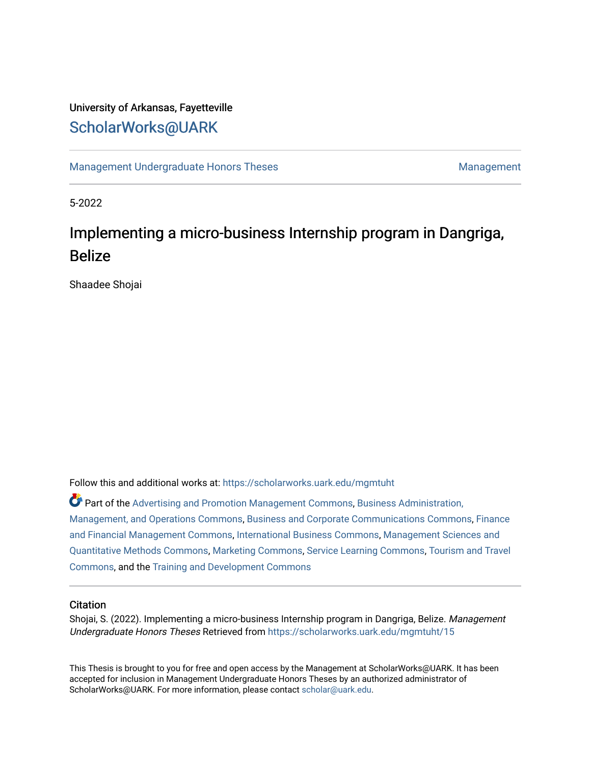# University of Arkansas, Fayetteville [ScholarWorks@UARK](https://scholarworks.uark.edu/)

[Management Undergraduate Honors Theses](https://scholarworks.uark.edu/mgmtuht) [Management](https://scholarworks.uark.edu/mgmt) Management

5-2022

# Implementing a micro-business Internship program in Dangriga, Belize

Shaadee Shojai

Follow this and additional works at: [https://scholarworks.uark.edu/mgmtuht](https://scholarworks.uark.edu/mgmtuht?utm_source=scholarworks.uark.edu%2Fmgmtuht%2F15&utm_medium=PDF&utm_campaign=PDFCoverPages) 

Part of the [Advertising and Promotion Management Commons,](http://network.bepress.com/hgg/discipline/626?utm_source=scholarworks.uark.edu%2Fmgmtuht%2F15&utm_medium=PDF&utm_campaign=PDFCoverPages) [Business Administration,](http://network.bepress.com/hgg/discipline/623?utm_source=scholarworks.uark.edu%2Fmgmtuht%2F15&utm_medium=PDF&utm_campaign=PDFCoverPages) [Management, and Operations Commons](http://network.bepress.com/hgg/discipline/623?utm_source=scholarworks.uark.edu%2Fmgmtuht%2F15&utm_medium=PDF&utm_campaign=PDFCoverPages), [Business and Corporate Communications Commons](http://network.bepress.com/hgg/discipline/627?utm_source=scholarworks.uark.edu%2Fmgmtuht%2F15&utm_medium=PDF&utm_campaign=PDFCoverPages), [Finance](http://network.bepress.com/hgg/discipline/631?utm_source=scholarworks.uark.edu%2Fmgmtuht%2F15&utm_medium=PDF&utm_campaign=PDFCoverPages) [and Financial Management Commons,](http://network.bepress.com/hgg/discipline/631?utm_source=scholarworks.uark.edu%2Fmgmtuht%2F15&utm_medium=PDF&utm_campaign=PDFCoverPages) [International Business Commons,](http://network.bepress.com/hgg/discipline/634?utm_source=scholarworks.uark.edu%2Fmgmtuht%2F15&utm_medium=PDF&utm_campaign=PDFCoverPages) [Management Sciences and](http://network.bepress.com/hgg/discipline/637?utm_source=scholarworks.uark.edu%2Fmgmtuht%2F15&utm_medium=PDF&utm_campaign=PDFCoverPages)  [Quantitative Methods Commons,](http://network.bepress.com/hgg/discipline/637?utm_source=scholarworks.uark.edu%2Fmgmtuht%2F15&utm_medium=PDF&utm_campaign=PDFCoverPages) [Marketing Commons,](http://network.bepress.com/hgg/discipline/638?utm_source=scholarworks.uark.edu%2Fmgmtuht%2F15&utm_medium=PDF&utm_campaign=PDFCoverPages) [Service Learning Commons](http://network.bepress.com/hgg/discipline/1024?utm_source=scholarworks.uark.edu%2Fmgmtuht%2F15&utm_medium=PDF&utm_campaign=PDFCoverPages), [Tourism and Travel](http://network.bepress.com/hgg/discipline/1082?utm_source=scholarworks.uark.edu%2Fmgmtuht%2F15&utm_medium=PDF&utm_campaign=PDFCoverPages) [Commons](http://network.bepress.com/hgg/discipline/1082?utm_source=scholarworks.uark.edu%2Fmgmtuht%2F15&utm_medium=PDF&utm_campaign=PDFCoverPages), and the [Training and Development Commons](http://network.bepress.com/hgg/discipline/1257?utm_source=scholarworks.uark.edu%2Fmgmtuht%2F15&utm_medium=PDF&utm_campaign=PDFCoverPages) 

#### **Citation**

Shojai, S. (2022). Implementing a micro-business Internship program in Dangriga, Belize. Management Undergraduate Honors Theses Retrieved from [https://scholarworks.uark.edu/mgmtuht/15](https://scholarworks.uark.edu/mgmtuht/15?utm_source=scholarworks.uark.edu%2Fmgmtuht%2F15&utm_medium=PDF&utm_campaign=PDFCoverPages) 

This Thesis is brought to you for free and open access by the Management at ScholarWorks@UARK. It has been accepted for inclusion in Management Undergraduate Honors Theses by an authorized administrator of ScholarWorks@UARK. For more information, please contact [scholar@uark.edu](mailto:scholar@uark.edu).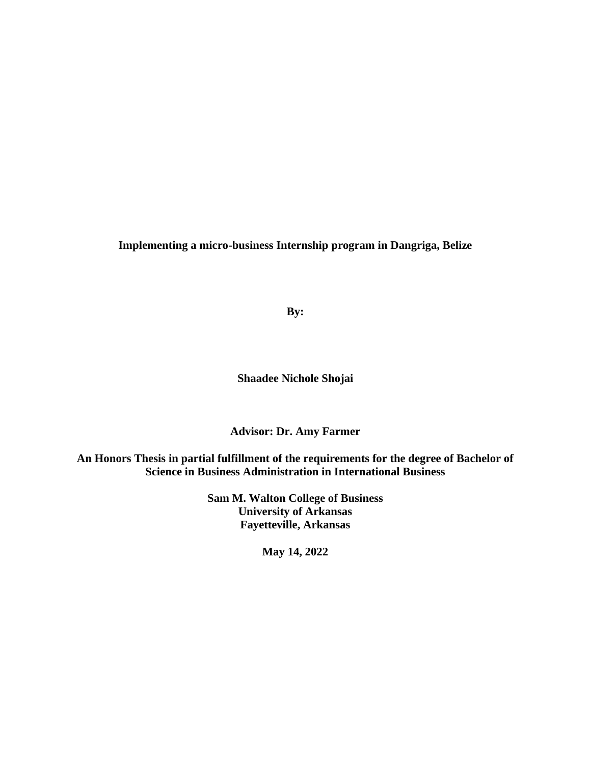**Implementing a micro-business Internship program in Dangriga, Belize**

**By:**

**Shaadee Nichole Shojai**

**Advisor: Dr. Amy Farmer**

**An Honors Thesis in partial fulfillment of the requirements for the degree of Bachelor of Science in Business Administration in International Business**

> **Sam M. Walton College of Business University of Arkansas Fayetteville, Arkansas**

> > **May 14, 2022**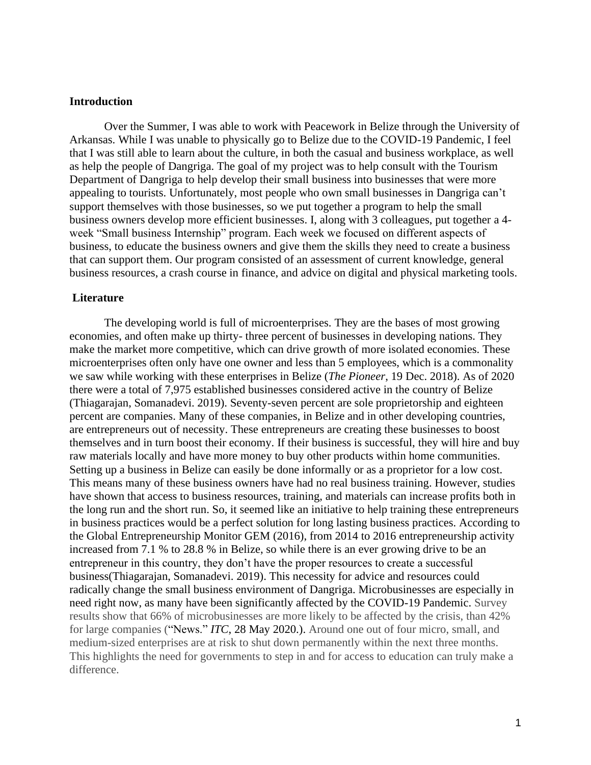#### **Introduction**

Over the Summer, I was able to work with Peacework in Belize through the University of Arkansas. While I was unable to physically go to Belize due to the COVID-19 Pandemic, I feel that I was still able to learn about the culture, in both the casual and business workplace, as well as help the people of Dangriga. The goal of my project was to help consult with the Tourism Department of Dangriga to help develop their small business into businesses that were more appealing to tourists. Unfortunately, most people who own small businesses in Dangriga can't support themselves with those businesses, so we put together a program to help the small business owners develop more efficient businesses. I, along with 3 colleagues, put together a 4 week "Small business Internship" program. Each week we focused on different aspects of business, to educate the business owners and give them the skills they need to create a business that can support them. Our program consisted of an assessment of current knowledge, general business resources, a crash course in finance, and advice on digital and physical marketing tools.

#### **Literature**

The developing world is full of microenterprises. They are the bases of most growing economies, and often make up thirty- three percent of businesses in developing nations. They make the market more competitive, which can drive growth of more isolated economies. These microenterprises often only have one owner and less than 5 employees, which is a commonality we saw while working with these enterprises in Belize (*The Pioneer*, 19 Dec. 2018). As of 2020 there were a total of 7,975 established businesses considered active in the country of Belize (Thiagarajan, Somanadevi. 2019). Seventy-seven percent are sole proprietorship and eighteen percent are companies. Many of these companies, in Belize and in other developing countries, are entrepreneurs out of necessity. These entrepreneurs are creating these businesses to boost themselves and in turn boost their economy. If their business is successful, they will hire and buy raw materials locally and have more money to buy other products within home communities. Setting up a business in Belize can easily be done informally or as a proprietor for a low cost. This means many of these business owners have had no real business training. However, studies have shown that access to business resources, training, and materials can increase profits both in the long run and the short run. So, it seemed like an initiative to help training these entrepreneurs in business practices would be a perfect solution for long lasting business practices. According to the Global Entrepreneurship Monitor GEM (2016), from 2014 to 2016 entrepreneurship activity increased from 7.1 % to 28.8 % in Belize, so while there is an ever growing drive to be an entrepreneur in this country, they don't have the proper resources to create a successful business(Thiagarajan, Somanadevi. 2019). This necessity for advice and resources could radically change the small business environment of Dangriga. Microbusinesses are especially in need right now, as many have been significantly affected by the COVID-19 Pandemic. Survey results show that 66% of microbusinesses are more likely to be affected by the crisis, than 42% for large companies ("News." *ITC*, 28 May 2020.). Around one out of four micro, small, and medium-sized enterprises are at risk to shut down permanently within the next three months. This highlights the need for governments to step in and for access to education can truly make a difference.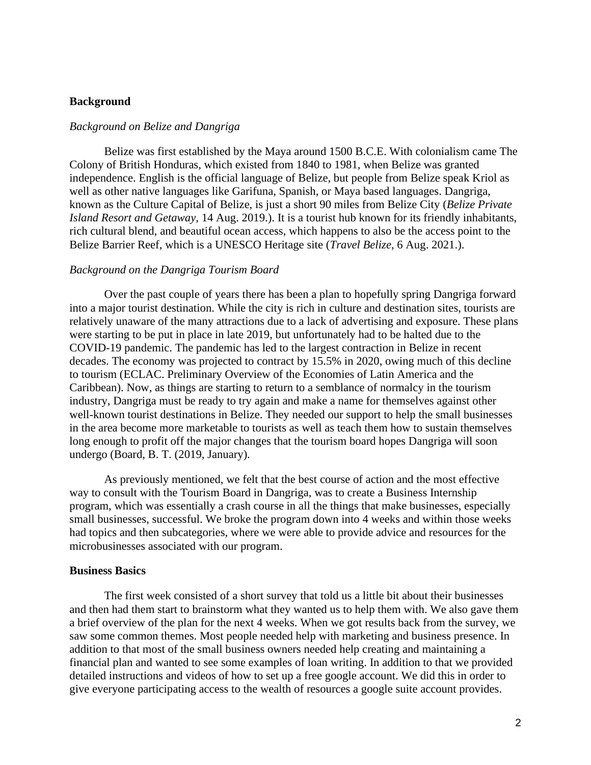#### **Background**

#### *Background on Belize and Dangriga*

Belize was first established by the Maya around 1500 B.C.E. With colonialism came The Colony of British Honduras, which existed from 1840 to 1981, when Belize was granted independence. English is the official language of Belize, but people from Belize speak Kriol as well as other native languages like Garifuna, Spanish, or Maya based languages. Dangriga, known as the Culture Capital of Belize, is just a short 90 miles from Belize City (*Belize Private Island Resort and Getaway*, 14 Aug. 2019.). It is a tourist hub known for its friendly inhabitants, rich cultural blend, and beautiful ocean access, which happens to also be the access point to the Belize Barrier Reef, which is a UNESCO Heritage site (*Travel Belize*, 6 Aug. 2021.).

#### *Background on the Dangriga Tourism Board*

Over the past couple of years there has been a plan to hopefully spring Dangriga forward into a major tourist destination. While the city is rich in culture and destination sites, tourists are relatively unaware of the many attractions due to a lack of advertising and exposure. These plans were starting to be put in place in late 2019, but unfortunately had to be halted due to the COVID-19 pandemic. The pandemic has led to the largest contraction in Belize in recent decades. The economy was projected to contract by 15.5% in 2020, owing much of this decline to tourism (ECLAC. Preliminary Overview of the Economies of Latin America and the Caribbean). Now, as things are starting to return to a semblance of normalcy in the tourism industry, Dangriga must be ready to try again and make a name for themselves against other well-known tourist destinations in Belize. They needed our support to help the small businesses in the area become more marketable to tourists as well as teach them how to sustain themselves long enough to profit off the major changes that the tourism board hopes Dangriga will soon undergo (Board, B. T. (2019, January).

As previously mentioned, we felt that the best course of action and the most effective way to consult with the Tourism Board in Dangriga, was to create a Business Internship program, which was essentially a crash course in all the things that make businesses, especially small businesses, successful. We broke the program down into 4 weeks and within those weeks had topics and then subcategories, where we were able to provide advice and resources for the microbusinesses associated with our program.

#### **Business Basics**

The first week consisted of a short survey that told us a little bit about their businesses and then had them start to brainstorm what they wanted us to help them with. We also gave them a brief overview of the plan for the next 4 weeks. When we got results back from the survey, we saw some common themes. Most people needed help with marketing and business presence. In addition to that most of the small business owners needed help creating and maintaining a financial plan and wanted to see some examples of loan writing. In addition to that we provided detailed instructions and videos of how to set up a free google account. We did this in order to give everyone participating access to the wealth of resources a google suite account provides.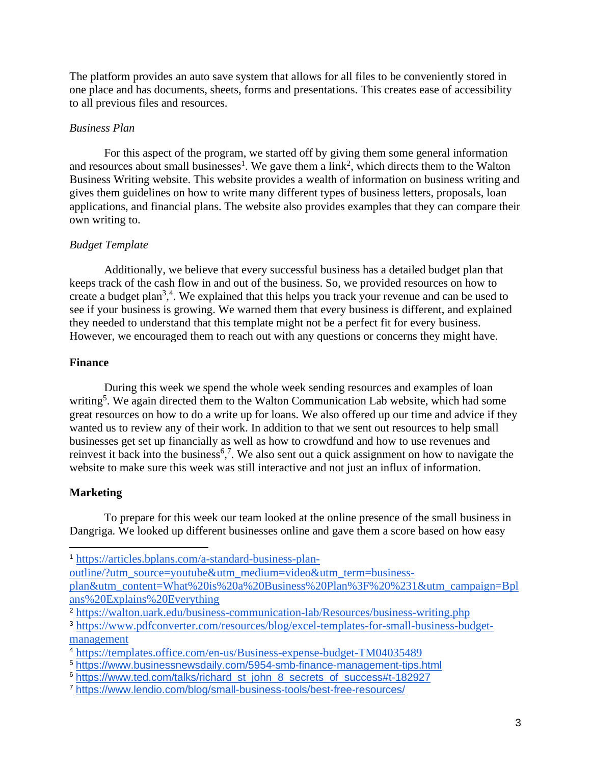The platform provides an auto save system that allows for all files to be conveniently stored in one place and has documents, sheets, forms and presentations. This creates ease of accessibility to all previous files and resources.

# *Business Plan*

For this aspect of the program, we started off by giving them some general information and resources about small businesses<sup>1</sup>. We gave them a link<sup>2</sup>, which directs them to the Walton Business Writing website. This website provides a wealth of information on business writing and gives them guidelines on how to write many different types of business letters, proposals, loan applications, and financial plans. The website also provides examples that they can compare their own writing to.

# *Budget Template*

Additionally, we believe that every successful business has a detailed budget plan that keeps track of the cash flow in and out of the business. So, we provided resources on how to create a budget plan<sup>3,4</sup>. We explained that this helps you track your revenue and can be used to see if your business is growing. We warned them that every business is different, and explained they needed to understand that this template might not be a perfect fit for every business. However, we encouraged them to reach out with any questions or concerns they might have.

# **Finance**

During this week we spend the whole week sending resources and examples of loan writing<sup>5</sup>. We again directed them to the Walton Communication Lab website, which had some great resources on how to do a write up for loans. We also offered up our time and advice if they wanted us to review any of their work. In addition to that we sent out resources to help small businesses get set up financially as well as how to crowdfund and how to use revenues and reinvest it back into the business<sup>6,7</sup>. We also sent out a quick assignment on how to navigate the website to make sure this week was still interactive and not just an influx of information.

# **Marketing**

To prepare for this week our team looked at the online presence of the small business in Dangriga. We looked up different businesses online and gave them a score based on how easy

[outline/?utm\\_source=youtube&utm\\_medium=video&utm\\_term=business](https://articles.bplans.com/a-standard-business-plan-outline/?utm_source=youtube&utm_medium=video&utm_term=business-plan&utm_content=What%20is%20a%20Business%20Plan%3F%20%231&utm_campaign=Bplans%20Explains%20Everything)[plan&utm\\_content=What%20is%20a%20Business%20Plan%3F%20%231&utm\\_campaign=Bpl](https://articles.bplans.com/a-standard-business-plan-outline/?utm_source=youtube&utm_medium=video&utm_term=business-plan&utm_content=What%20is%20a%20Business%20Plan%3F%20%231&utm_campaign=Bplans%20Explains%20Everything) [ans%20Explains%20Everything](https://articles.bplans.com/a-standard-business-plan-outline/?utm_source=youtube&utm_medium=video&utm_term=business-plan&utm_content=What%20is%20a%20Business%20Plan%3F%20%231&utm_campaign=Bplans%20Explains%20Everything)

<sup>1</sup> [https://articles.bplans.com/a-standard-business-plan-](https://articles.bplans.com/a-standard-business-plan-outline/?utm_source=youtube&utm_medium=video&utm_term=business-plan&utm_content=What%20is%20a%20Business%20Plan%3F%20%231&utm_campaign=Bplans%20Explains%20Everything)

<sup>&</sup>lt;sup>2</sup> <https://walton.uark.edu/business-communication-lab/Resources/business-writing.php>

<sup>3</sup> [https://www.pdfconverter.com/resources/blog/excel-templates-for-small-business-budget](https://www.pdfconverter.com/resources/blog/excel-templates-for-small-business-budget-management)[management](https://www.pdfconverter.com/resources/blog/excel-templates-for-small-business-budget-management)

<sup>4</sup> <https://templates.office.com/en-us/Business-expense-budget-TM04035489>

<sup>5</sup> <https://www.businessnewsdaily.com/5954-smb-finance-management-tips.html>

<sup>&</sup>lt;sup>6</sup> [https://www.ted.com/talks/richard\\_st\\_john\\_8\\_secrets\\_of\\_success#t-182927](https://www.ted.com/talks/richard_st_john_8_secrets_of_success#t-182927)

<sup>7</sup> <https://www.lendio.com/blog/small-business-tools/best-free-resources/>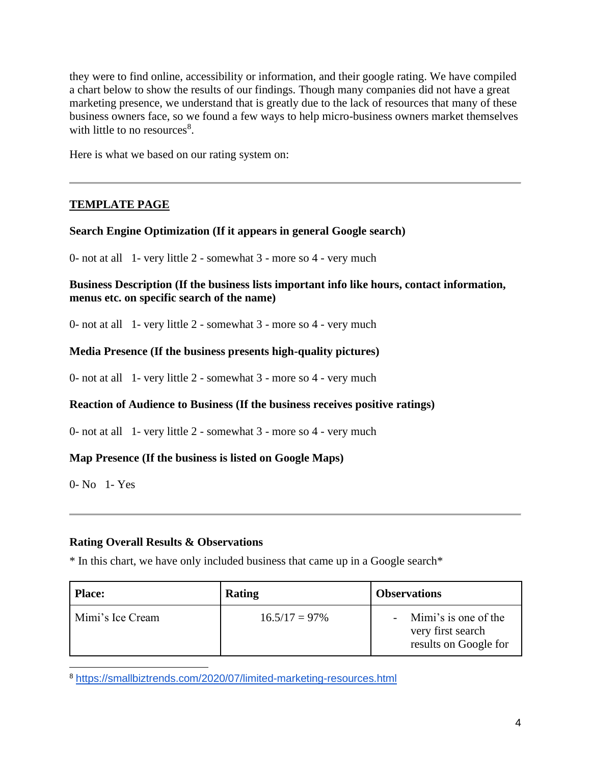they were to find online, accessibility or information, and their google rating. We have compiled a chart below to show the results of our findings. Though many companies did not have a great marketing presence, we understand that is greatly due to the lack of resources that many of these business owners face, so we found a few ways to help micro-business owners market themselves with little to no resources<sup>8</sup>.

Here is what we based on our rating system on:

# **TEMPLATE PAGE**

#### **Search Engine Optimization (If it appears in general Google search)**

0- not at all 1- very little 2 - somewhat 3 - more so 4 - very much

**Business Description (If the business lists important info like hours, contact information, menus etc. on specific search of the name)**

0- not at all 1- very little 2 - somewhat 3 - more so 4 - very much

# **Media Presence (If the business presents high-quality pictures)**

0- not at all 1- very little 2 - somewhat 3 - more so 4 - very much

#### **Reaction of Audience to Business (If the business receives positive ratings)**

0- not at all 1- very little 2 - somewhat 3 - more so 4 - very much

#### **Map Presence (If the business is listed on Google Maps)**

0- No 1- Yes

# **Rating Overall Results & Observations**

\* In this chart, we have only included business that came up in a Google search\*

| <b>Place:</b>    | Rating           | <b>Observations</b>                                                |
|------------------|------------------|--------------------------------------------------------------------|
| Mimi's Ice Cream | $16.5/17 = 97\%$ | Mimi's is one of the<br>very first search<br>results on Google for |

<sup>8</sup> <https://smallbiztrends.com/2020/07/limited-marketing-resources.html>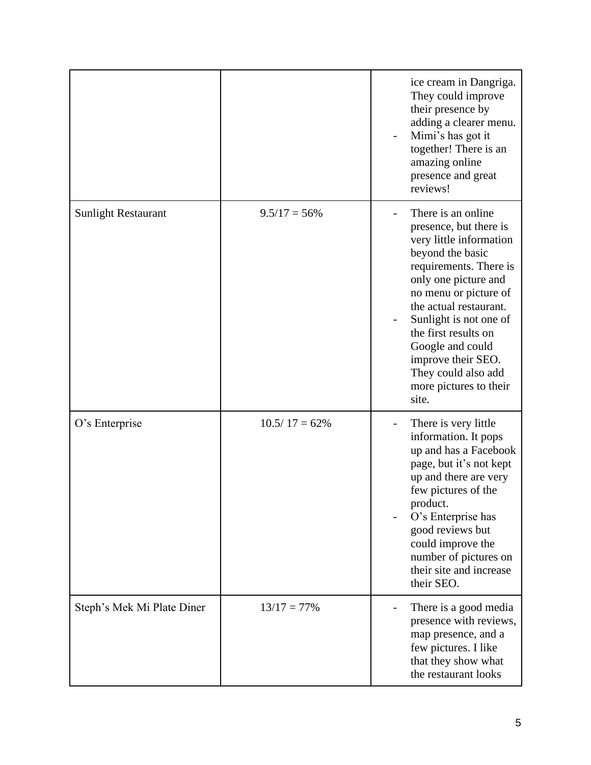|                            |                  | ice cream in Dangriga.<br>They could improve<br>their presence by<br>adding a clearer menu.<br>Mimi's has got it<br>together! There is an<br>amazing online<br>presence and great<br>reviews!                                                                                                                                                           |
|----------------------------|------------------|---------------------------------------------------------------------------------------------------------------------------------------------------------------------------------------------------------------------------------------------------------------------------------------------------------------------------------------------------------|
| <b>Sunlight Restaurant</b> | $9.5/17 = 56\%$  | There is an online.<br>presence, but there is<br>very little information<br>beyond the basic<br>requirements. There is<br>only one picture and<br>no menu or picture of<br>the actual restaurant.<br>Sunlight is not one of<br>the first results on<br>Google and could<br>improve their SEO.<br>They could also add<br>more pictures to their<br>site. |
| O's Enterprise             | $10.5/17 = 62\%$ | There is very little<br>information. It pops<br>up and has a Facebook<br>page, but it's not kept<br>up and there are very<br>few pictures of the<br>product.<br>O's Enterprise has<br>good reviews but<br>could improve the<br>number of pictures on<br>their site and increase<br>their SEO.                                                           |
| Steph's Mek Mi Plate Diner | $13/17 = 77\%$   | There is a good media<br>presence with reviews,<br>map presence, and a<br>few pictures. I like<br>that they show what<br>the restaurant looks                                                                                                                                                                                                           |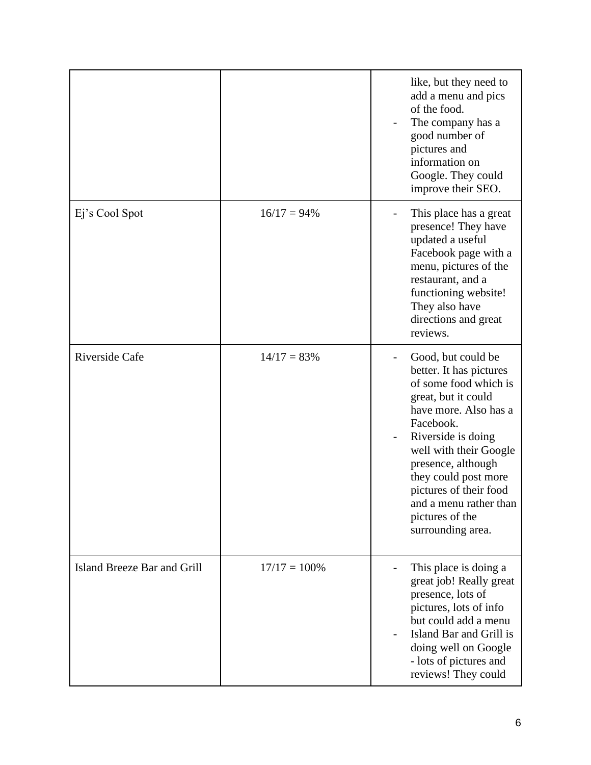|                             |                 | like, but they need to<br>add a menu and pics<br>of the food.<br>The company has a<br>good number of<br>pictures and<br>information on<br>Google. They could<br>improve their SEO.                                                                                                                                            |
|-----------------------------|-----------------|-------------------------------------------------------------------------------------------------------------------------------------------------------------------------------------------------------------------------------------------------------------------------------------------------------------------------------|
| Ej's Cool Spot              | $16/17 = 94\%$  | This place has a great<br>presence! They have<br>updated a useful<br>Facebook page with a<br>menu, pictures of the<br>restaurant, and a<br>functioning website!<br>They also have<br>directions and great<br>reviews.                                                                                                         |
| Riverside Cafe              | $14/17 = 83%$   | Good, but could be<br>better. It has pictures<br>of some food which is<br>great, but it could<br>have more. Also has a<br>Facebook.<br>Riverside is doing<br>well with their Google<br>presence, although<br>they could post more<br>pictures of their food<br>and a menu rather than<br>pictures of the<br>surrounding area. |
| Island Breeze Bar and Grill | $17/17 = 100\%$ | This place is doing a<br>great job! Really great<br>presence, lots of<br>pictures, lots of info<br>but could add a menu<br>Island Bar and Grill is<br>doing well on Google<br>- lots of pictures and<br>reviews! They could                                                                                                   |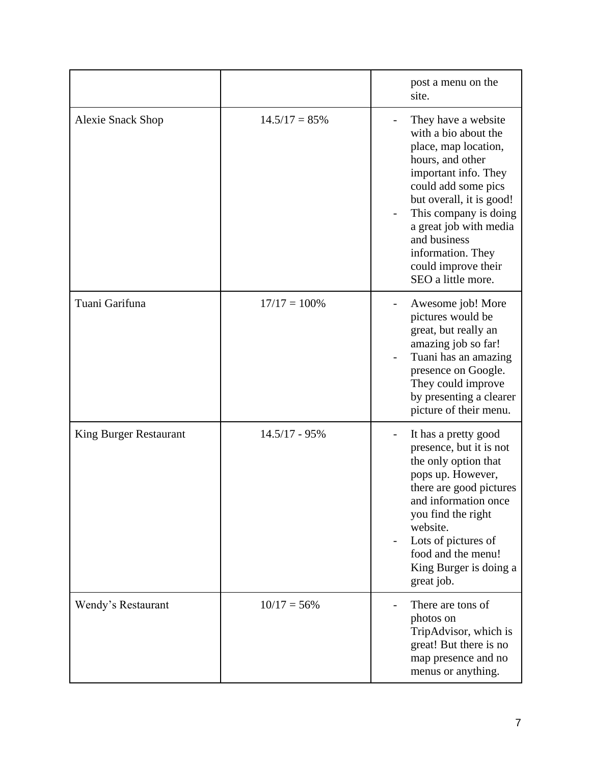|                               |                 | post a menu on the<br>site.                                                                                                                                                                                                                                                                             |
|-------------------------------|-----------------|---------------------------------------------------------------------------------------------------------------------------------------------------------------------------------------------------------------------------------------------------------------------------------------------------------|
| <b>Alexie Snack Shop</b>      | $14.5/17 = 85%$ | They have a website<br>with a bio about the<br>place, map location,<br>hours, and other<br>important info. They<br>could add some pics<br>but overall, it is good!<br>This company is doing<br>a great job with media<br>and business<br>information. They<br>could improve their<br>SEO a little more. |
| Tuani Garifuna                | $17/17 = 100\%$ | Awesome job! More<br>pictures would be<br>great, but really an<br>amazing job so far!<br>Tuani has an amazing<br>presence on Google.<br>They could improve<br>by presenting a clearer<br>picture of their menu.                                                                                         |
| <b>King Burger Restaurant</b> | $14.5/17 - 95%$ | It has a pretty good<br>presence, but it is not<br>the only option that<br>pops up. However,<br>there are good pictures<br>and information once<br>you find the right<br>website.<br>Lots of pictures of<br>food and the menu!<br>King Burger is doing a<br>great job.                                  |
| Wendy's Restaurant            | $10/17 = 56\%$  | There are tons of<br>photos on<br>TripAdvisor, which is<br>great! But there is no<br>map presence and no<br>menus or anything.                                                                                                                                                                          |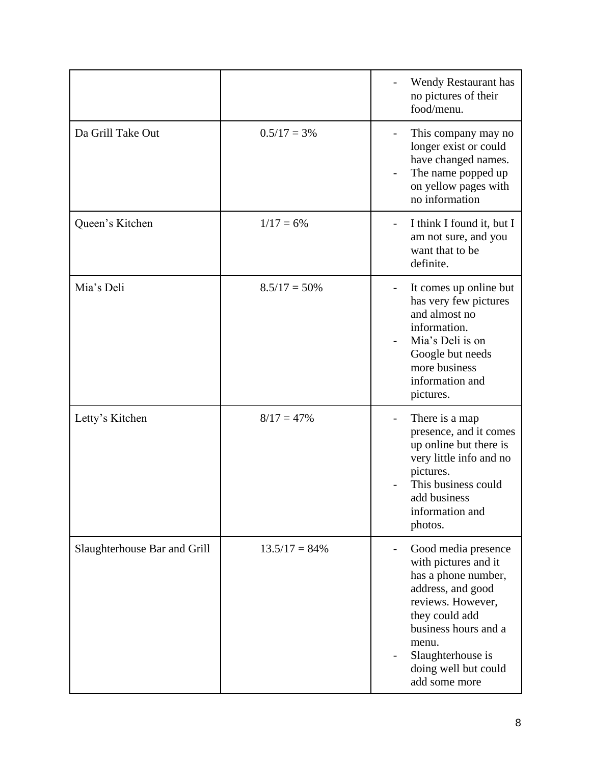|                              |                  | Wendy Restaurant has<br>no pictures of their<br>food/menu.                                                                                                                                                                    |
|------------------------------|------------------|-------------------------------------------------------------------------------------------------------------------------------------------------------------------------------------------------------------------------------|
| Da Grill Take Out            | $0.5/17 = 3\%$   | This company may no<br>longer exist or could<br>have changed names.<br>The name popped up<br>on yellow pages with<br>no information                                                                                           |
| Queen's Kitchen              | $1/17 = 6\%$     | I think I found it, but I<br>am not sure, and you<br>want that to be<br>definite.                                                                                                                                             |
| Mia's Deli                   | $8.5/17 = 50\%$  | It comes up online but<br>has very few pictures<br>and almost no<br>information.<br>Mia's Deli is on<br>Google but needs<br>more business<br>information and<br>pictures.                                                     |
| Letty's Kitchen              | $8/17 = 47\%$    | There is a map<br>presence, and it comes<br>up online but there is<br>very little info and no<br>pictures.<br>This business could<br>add business<br>information and<br>photos.                                               |
| Slaughterhouse Bar and Grill | $13.5/17 = 84\%$ | Good media presence<br>with pictures and it<br>has a phone number,<br>address, and good<br>reviews. However,<br>they could add<br>business hours and a<br>menu.<br>Slaughterhouse is<br>doing well but could<br>add some more |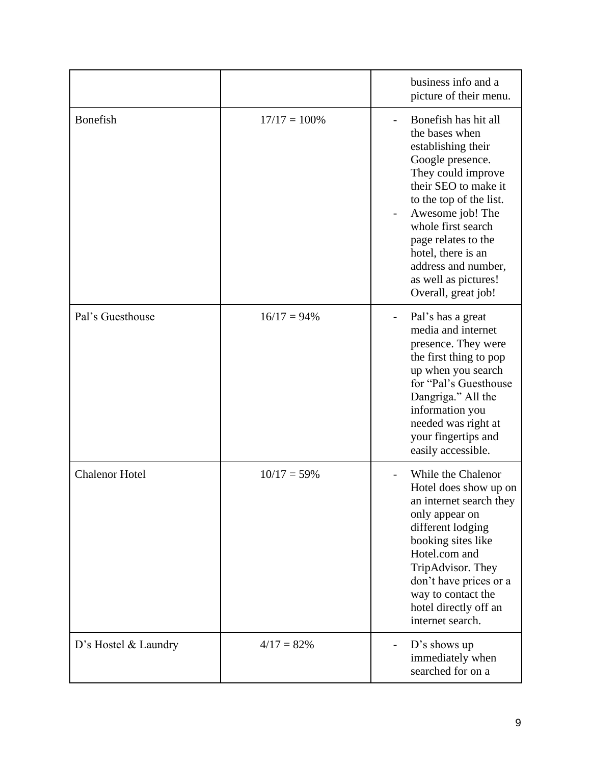|                       |                 | business info and a<br>picture of their menu.                                                                                                                                                                                                                                                                          |
|-----------------------|-----------------|------------------------------------------------------------------------------------------------------------------------------------------------------------------------------------------------------------------------------------------------------------------------------------------------------------------------|
| <b>Bonefish</b>       | $17/17 = 100\%$ | Bonefish has hit all<br>the bases when<br>establishing their<br>Google presence.<br>They could improve<br>their SEO to make it<br>to the top of the list.<br>Awesome job! The<br>whole first search<br>page relates to the<br>hotel, there is an<br>address and number,<br>as well as pictures!<br>Overall, great job! |
| Pal's Guesthouse      | $16/17 = 94\%$  | Pal's has a great<br>$\qquad \qquad -$<br>media and internet<br>presence. They were<br>the first thing to pop<br>up when you search<br>for "Pal's Guesthouse<br>Dangriga." All the<br>information you<br>needed was right at<br>your fingertips and<br>easily accessible.                                              |
| <b>Chalenor Hotel</b> | $10/17 = 59\%$  | While the Chalenor<br>Hotel does show up on<br>an internet search they<br>only appear on<br>different lodging<br>booking sites like<br>Hotel.com and<br>TripAdvisor. They<br>don't have prices or a<br>way to contact the<br>hotel directly off an<br>internet search.                                                 |
| D's Hostel & Laundry  | $4/17 = 82\%$   | $D$ 's shows up<br>immediately when<br>searched for on a                                                                                                                                                                                                                                                               |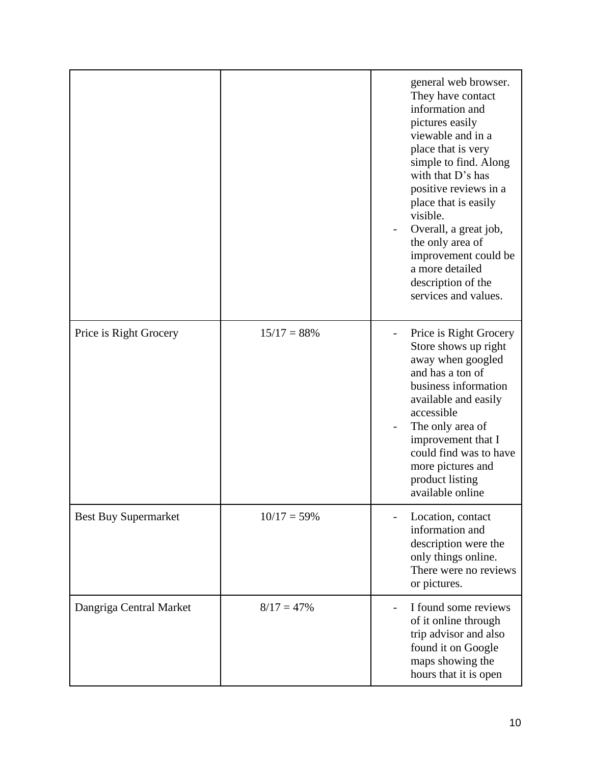|                             |                | general web browser.<br>They have contact<br>information and<br>pictures easily<br>viewable and in a<br>place that is very<br>simple to find. Along<br>with that D's has<br>positive reviews in a<br>place that is easily<br>visible.<br>Overall, a great job,<br>the only area of<br>improvement could be<br>a more detailed<br>description of the<br>services and values. |
|-----------------------------|----------------|-----------------------------------------------------------------------------------------------------------------------------------------------------------------------------------------------------------------------------------------------------------------------------------------------------------------------------------------------------------------------------|
| Price is Right Grocery      | $15/17 = 88\%$ | Price is Right Grocery<br>Store shows up right<br>away when googled<br>and has a ton of<br>business information<br>available and easily<br>accessible<br>The only area of<br>improvement that I<br>could find was to have<br>more pictures and<br>product listing<br>available online                                                                                       |
| <b>Best Buy Supermarket</b> | $10/17 = 59\%$ | Location, contact<br>information and<br>description were the<br>only things online.<br>There were no reviews<br>or pictures.                                                                                                                                                                                                                                                |
| Dangriga Central Market     | $8/17 = 47\%$  | I found some reviews<br>of it online through<br>trip advisor and also<br>found it on Google<br>maps showing the<br>hours that it is open                                                                                                                                                                                                                                    |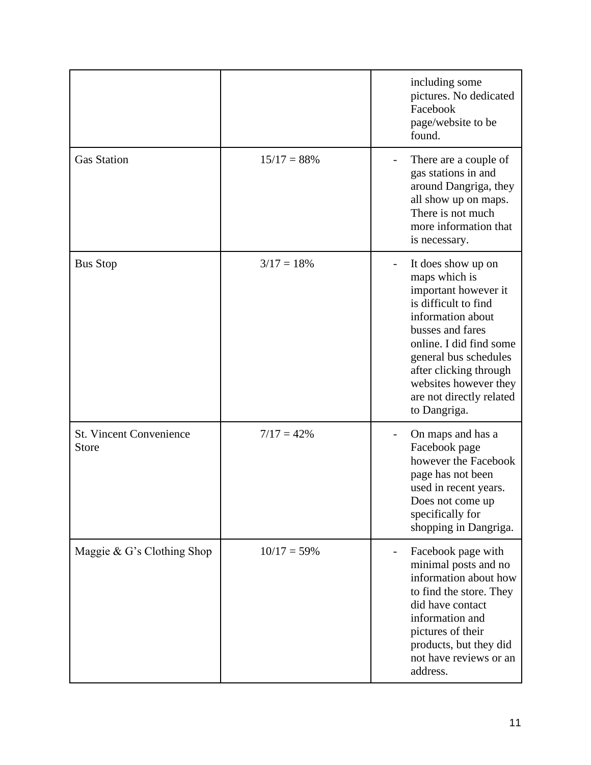|                                                |                | including some<br>pictures. No dedicated<br>Facebook<br>page/website to be<br>found.                                                                                                                                                                                            |
|------------------------------------------------|----------------|---------------------------------------------------------------------------------------------------------------------------------------------------------------------------------------------------------------------------------------------------------------------------------|
| <b>Gas Station</b>                             | $15/17 = 88%$  | There are a couple of<br>gas stations in and<br>around Dangriga, they<br>all show up on maps.<br>There is not much<br>more information that<br>is necessary.                                                                                                                    |
| <b>Bus Stop</b>                                | $3/17 = 18%$   | It does show up on<br>maps which is<br>important however it<br>is difficult to find<br>information about<br>busses and fares<br>online. I did find some<br>general bus schedules<br>after clicking through<br>websites however they<br>are not directly related<br>to Dangriga. |
| <b>St. Vincent Convenience</b><br><b>Store</b> | $7/17 = 42\%$  | On maps and has a<br>Facebook page<br>however the Facebook<br>page has not been<br>used in recent years.<br>Does not come up<br>specifically for<br>shopping in Dangriga.                                                                                                       |
| Maggie & G's Clothing Shop                     | $10/17 = 59\%$ | Facebook page with<br>minimal posts and no<br>information about how<br>to find the store. They<br>did have contact<br>information and<br>pictures of their<br>products, but they did<br>not have reviews or an<br>address.                                                      |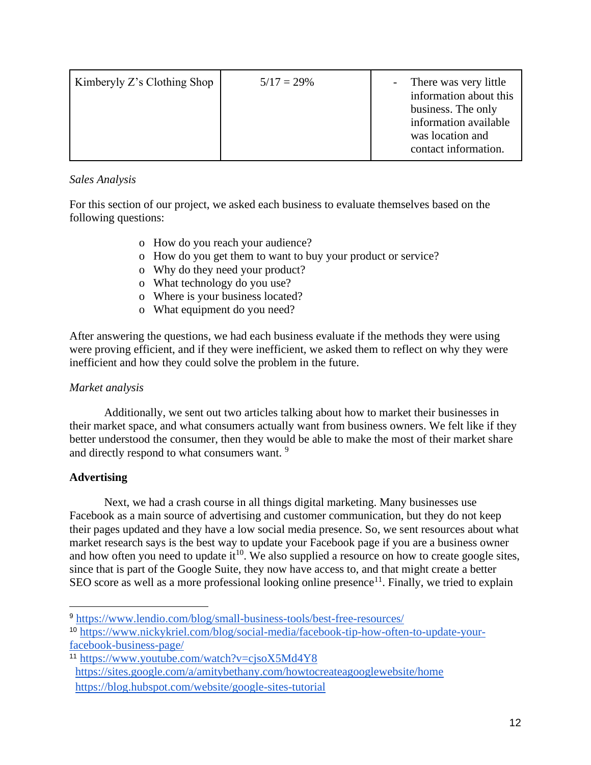| Kimberyly Z's Clothing Shop | $5/17 = 29\%$ | There was very little<br>information about this<br>business. The only<br>information available<br>was location and |
|-----------------------------|---------------|--------------------------------------------------------------------------------------------------------------------|
|                             |               | contact information.                                                                                               |

# *Sales Analysis*

For this section of our project, we asked each business to evaluate themselves based on the following questions:

- o How do you reach your audience?
- o How do you get them to want to buy your product or service?
- o Why do they need your product?
- o What technology do you use?
- o Where is your business located?
- o What equipment do you need?

After answering the questions, we had each business evaluate if the methods they were using were proving efficient, and if they were inefficient, we asked them to reflect on why they were inefficient and how they could solve the problem in the future.

# *Market analysis*

Additionally, we sent out two articles talking about how to market their businesses in their market space, and what consumers actually want from business owners. We felt like if they better understood the consumer, then they would be able to make the most of their market share and directly respond to what consumers want. <sup>9</sup>

# **Advertising**

Next, we had a crash course in all things digital marketing. Many businesses use Facebook as a main source of advertising and customer communication, but they do not keep their pages updated and they have a low social media presence. So, we sent resources about what market research says is the best way to update your Facebook page if you are a business owner and how often you need to update  $it^{10}$ . We also supplied a resource on how to create google sites, since that is part of the Google Suite, they now have access to, and that might create a better SEO score as well as a more professional looking online presence<sup>11</sup>. Finally, we tried to explain

<sup>11</sup> <https://www.youtube.com/watch?v=cjsoX5Md4Y8> <https://sites.google.com/a/amitybethany.com/howtocreateagooglewebsite/home> <https://blog.hubspot.com/website/google-sites-tutorial>

<sup>9</sup> <https://www.lendio.com/blog/small-business-tools/best-free-resources/>

<sup>10</sup> [https://www.nickykriel.com/blog/social-media/facebook-tip-how-often-to-update-your](https://www.nickykriel.com/blog/social-media/facebook-tip-how-often-to-update-your-facebook-business-page/)[facebook-business-page/](https://www.nickykriel.com/blog/social-media/facebook-tip-how-often-to-update-your-facebook-business-page/)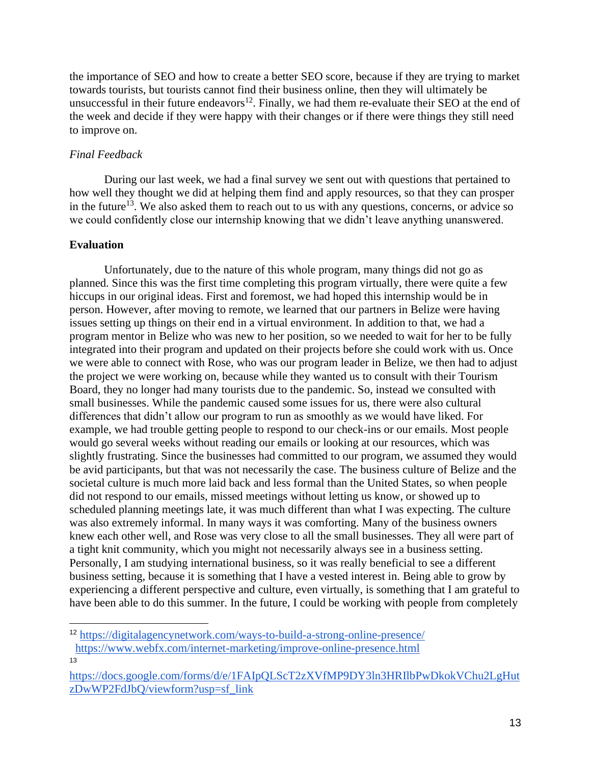the importance of SEO and how to create a better SEO score, because if they are trying to market towards tourists, but tourists cannot find their business online, then they will ultimately be unsuccessful in their future endeavors<sup>12</sup>. Finally, we had them re-evaluate their SEO at the end of the week and decide if they were happy with their changes or if there were things they still need to improve on.

# *Final Feedback*

During our last week, we had a final survey we sent out with questions that pertained to how well they thought we did at helping them find and apply resources, so that they can prosper in the future<sup>13</sup>. We also asked them to reach out to us with any questions, concerns, or advice so we could confidently close our internship knowing that we didn't leave anything unanswered.

# **Evaluation**

Unfortunately, due to the nature of this whole program, many things did not go as planned. Since this was the first time completing this program virtually, there were quite a few hiccups in our original ideas. First and foremost, we had hoped this internship would be in person. However, after moving to remote, we learned that our partners in Belize were having issues setting up things on their end in a virtual environment. In addition to that, we had a program mentor in Belize who was new to her position, so we needed to wait for her to be fully integrated into their program and updated on their projects before she could work with us. Once we were able to connect with Rose, who was our program leader in Belize, we then had to adjust the project we were working on, because while they wanted us to consult with their Tourism Board, they no longer had many tourists due to the pandemic. So, instead we consulted with small businesses. While the pandemic caused some issues for us, there were also cultural differences that didn't allow our program to run as smoothly as we would have liked. For example, we had trouble getting people to respond to our check-ins or our emails. Most people would go several weeks without reading our emails or looking at our resources, which was slightly frustrating. Since the businesses had committed to our program, we assumed they would be avid participants, but that was not necessarily the case. The business culture of Belize and the societal culture is much more laid back and less formal than the United States, so when people did not respond to our emails, missed meetings without letting us know, or showed up to scheduled planning meetings late, it was much different than what I was expecting. The culture was also extremely informal. In many ways it was comforting. Many of the business owners knew each other well, and Rose was very close to all the small businesses. They all were part of a tight knit community, which you might not necessarily always see in a business setting. Personally, I am studying international business, so it was really beneficial to see a different business setting, because it is something that I have a vested interest in. Being able to grow by experiencing a different perspective and culture, even virtually, is something that I am grateful to have been able to do this summer. In the future, I could be working with people from completely

<sup>12</sup> <https://digitalagencynetwork.com/ways-to-build-a-strong-online-presence/> <https://www.webfx.com/internet-marketing/improve-online-presence.html>

<sup>13</sup>

[https://docs.google.com/forms/d/e/1FAIpQLScT2zXVfMP9DY3ln3HRIlbPwDkokVChu2LgHut](https://docs.google.com/forms/d/e/1FAIpQLScT2zXVfMP9DY3ln3HRIlbPwDkokVChu2LgHutzDwWP2FdJbQ/viewform?usp=sf_link) [zDwWP2FdJbQ/viewform?usp=sf\\_link](https://docs.google.com/forms/d/e/1FAIpQLScT2zXVfMP9DY3ln3HRIlbPwDkokVChu2LgHutzDwWP2FdJbQ/viewform?usp=sf_link)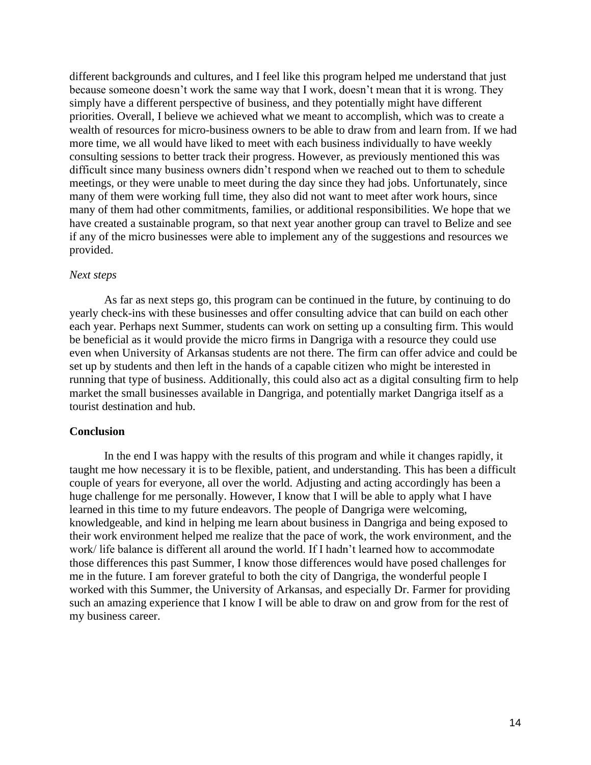different backgrounds and cultures, and I feel like this program helped me understand that just because someone doesn't work the same way that I work, doesn't mean that it is wrong. They simply have a different perspective of business, and they potentially might have different priorities. Overall, I believe we achieved what we meant to accomplish, which was to create a wealth of resources for micro-business owners to be able to draw from and learn from. If we had more time, we all would have liked to meet with each business individually to have weekly consulting sessions to better track their progress. However, as previously mentioned this was difficult since many business owners didn't respond when we reached out to them to schedule meetings, or they were unable to meet during the day since they had jobs. Unfortunately, since many of them were working full time, they also did not want to meet after work hours, since many of them had other commitments, families, or additional responsibilities. We hope that we have created a sustainable program, so that next year another group can travel to Belize and see if any of the micro businesses were able to implement any of the suggestions and resources we provided.

#### *Next steps*

As far as next steps go, this program can be continued in the future, by continuing to do yearly check-ins with these businesses and offer consulting advice that can build on each other each year. Perhaps next Summer, students can work on setting up a consulting firm. This would be beneficial as it would provide the micro firms in Dangriga with a resource they could use even when University of Arkansas students are not there. The firm can offer advice and could be set up by students and then left in the hands of a capable citizen who might be interested in running that type of business. Additionally, this could also act as a digital consulting firm to help market the small businesses available in Dangriga, and potentially market Dangriga itself as a tourist destination and hub.

#### **Conclusion**

In the end I was happy with the results of this program and while it changes rapidly, it taught me how necessary it is to be flexible, patient, and understanding. This has been a difficult couple of years for everyone, all over the world. Adjusting and acting accordingly has been a huge challenge for me personally. However, I know that I will be able to apply what I have learned in this time to my future endeavors. The people of Dangriga were welcoming, knowledgeable, and kind in helping me learn about business in Dangriga and being exposed to their work environment helped me realize that the pace of work, the work environment, and the work/ life balance is different all around the world. If I hadn't learned how to accommodate those differences this past Summer, I know those differences would have posed challenges for me in the future. I am forever grateful to both the city of Dangriga, the wonderful people I worked with this Summer, the University of Arkansas, and especially Dr. Farmer for providing such an amazing experience that I know I will be able to draw on and grow from for the rest of my business career.